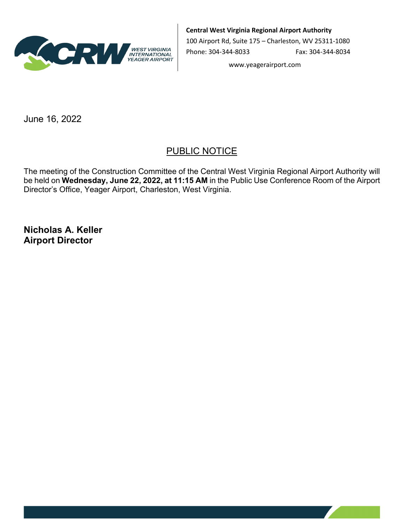

**Central West Virginia Regional Airport Authority**

100 Airport Rd, Suite 175 – Charleston, WV 25311-1080 Phone: 304-344-8033 Fax: 304-344-8034

www.yeagerairport.com

June 16, 2022

## PUBLIC NOTICE

The meeting of the Construction Committee of the Central West Virginia Regional Airport Authority will be held on **Wednesday, June 22, 2022, at 11:15 AM** in the Public Use Conference Room of the Airport Director's Office, Yeager Airport, Charleston, West Virginia.

**Nicholas A. Keller Airport Director**